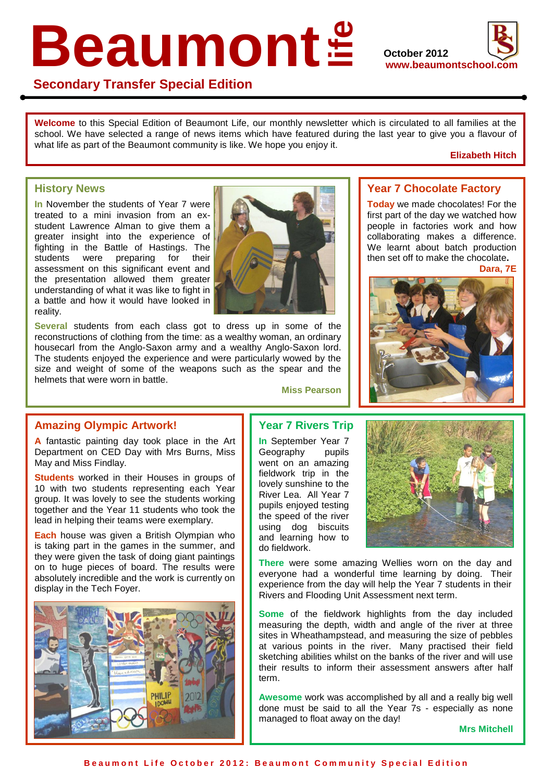# Beaumont<sup>®</sup>



# **Secondary Transfer Special Edition**

**Welcome** to this Special Edition of Beaumont Life, our monthly newsletter which is circulated to all families at the **School.** We have selected a range of news items which have featured during the last year to give you a flavour of what life as part of the Beaumont community is like. We hope you enjoy it what life as part of the Beaumont community is like. We hope you enjoy it.

### **Elizabeth Hitch**

## **History News**

**Example 3**<br> **In** November the students of Year 7 were student Lawrence Alman to give them a<br>greater insight into the experience of<br>fighting in the Battle of Hastings. The<br>students were preparing for their<br>assessment on this significant event and<br>the presentation allowed them treated to a mini invasion from an exstudent Lawrence Alman to give them a greater insight into the experience of fighting in the Battle of Hastings. The students were preparing for their assessment on this significant event and the presentation allowed them greater understanding of what it was like to fight in reality.

a battle and how it would have looked in<br>
reality.<br> **Several** students from each class got<br>
reconstructions of clothing from the time: as<br>
housecarl from the Anglo-Saxon army and **Several** students from each class got to dress up in some of the reconstructions of clothing from the time: as a wealthy woman, an ordinary housecarl from the Anglo-Saxon army and a wealthy Anglo-Saxon lord. The students enjoyed the experience and were particularly wowed by the size and weight of some of the weapons such as the spear and the helmets that were worn in battle.



**Miss Pearson**

# **Year 7 Chocolate Factory**

**Today** we made chocolates! For the first part of the day we watched how people in factories work and how collaborating makes a difference. We learnt about batch production then set off to make the chocolate**.** 



# **Amazing Olympic Artwork!**

**A** fantastic painting day took place in the Art Department on CED Day with Mrs Burns, Miss May and Miss Findlay.

**Students** worked in their Houses in groups of 10 with two students representing each Year group. It was lovely to see the students working together and the Year 11 students who took the lead in helping their teams were exemplary.

**Each** house was given a British Olympian who is taking part in the games in the summer, and they were given the task of doing giant paintings on to huge pieces of board. The results were absolutely incredible and the work is currently on display in the Tech Foyer.



# **Year 7 Rivers Trip**

**In** September Year 7 Geography pupils went on an amazing fieldwork trip in the lovely sunshine to the River Lea. All Year 7 pupils enjoyed testing the speed of the river using dog biscuits and learning how to do fieldwork.



**There** were some amazing Wellies worn on the day and everyone had a wonderful time learning by doing. Their experience from the day will help the Year 7 students in their Rivers and Flooding Unit Assessment next term.

**Some** of the fieldwork highlights from the day included measuring the depth, width and angle of the river at three sites in Wheathampstead, and measuring the size of pebbles at various points in the river. Many practised their field sketching abilities whilst on the banks of the river and will use their results to inform their assessment answers after half term.

**Awesome** work was accomplished by all and a really big well done must be said to all the Year 7s - especially as none managed to float away on the day!

**Mrs Mitchell**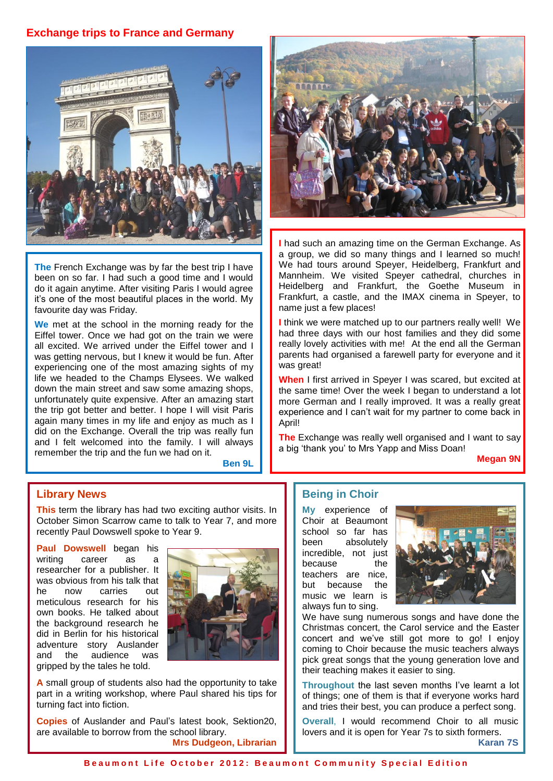# **Exchange trips to France and Germany**



**The** French Exchange was by far the best trip I have been on so far. I had such a good time and I would do it again anytime. After visiting Paris I would agree it's one of the most beautiful places in the world. My favourite day was Friday.

**We** met at the school in the morning ready for the Eiffel tower. Once we had got on the train we were all excited. We arrived under the Eiffel tower and I was getting nervous, but I knew it would be fun. After experiencing one of the most amazing sights of my life we headed to the Champs Elysees. We walked down the main street and saw some amazing shops, unfortunately quite expensive. After an amazing start the trip got better and better. I hope I will visit Paris again many times in my life and enjoy as much as I did on the Exchange. Overall the trip was really fun and I felt welcomed into the family. I will always remember the trip and the fun we had on it.

**Ben 9L**



**I** had such an amazing time on the German Exchange. As a group, we did so many things and I learned so much! We had tours around Speyer, Heidelberg, Frankfurt and Mannheim. We visited Speyer cathedral, churches in Heidelberg and Frankfurt, the Goethe Museum in Frankfurt, a castle, and the IMAX cinema in Speyer, to name just a few places!

**I** think we were matched up to our partners really well! We had three days with our host families and they did some really lovely activities with me! At the end all the German parents had organised a farewell party for everyone and it was great!

**When** I first arrived in Speyer I was scared, but excited at the same time! Over the week I began to understand a lot more German and I really improved. It was a really great experience and I can't wait for my partner to come back in April!

**The** Exchange was really well organised and I want to say a big 'thank you' to Mrs Yapp and Miss Doan!

**Megan 9N** 

### **Library News**

**This** term the library has had two exciting author visits. In October Simon Scarrow came to talk to Year 7, and more recently Paul Dowswell spoke to Year 9.

**Paul Dowswell** began his writing career as a researcher for a publisher. It was obvious from his talk that he now carries out meticulous research for his own books. He talked about the background research he did in Berlin for his historical adventure story Auslander and the audience was gripped by the tales he told.



**A** small group of students also had the opportunity to take part in a writing workshop, where Paul shared his tips for turning fact into fiction.

**Copies** of Auslander and Paul's latest book, Sektion20, are available to borrow from the school library. **Mrs Dudgeon, Librarian**

### **Being in Choir**

**My** experience of Choir at Beaumont school so far has been absolutely incredible, not just because the teachers are nice, but because the music we learn is always fun to sing.



We have sung numerous songs and have done the Christmas concert, the Carol service and the Easter concert and we've still got more to go! I enjoy coming to Choir because the music teachers always pick great songs that the young generation love and their teaching makes it easier to sing.

**Throughout** the last seven months I've learnt a lot of things; one of them is that if everyone works hard and tries their best, you can produce a perfect song.

**Overall**, I would recommend Choir to all music lovers and it is open for Year 7s to sixth formers.

**Karan 7S**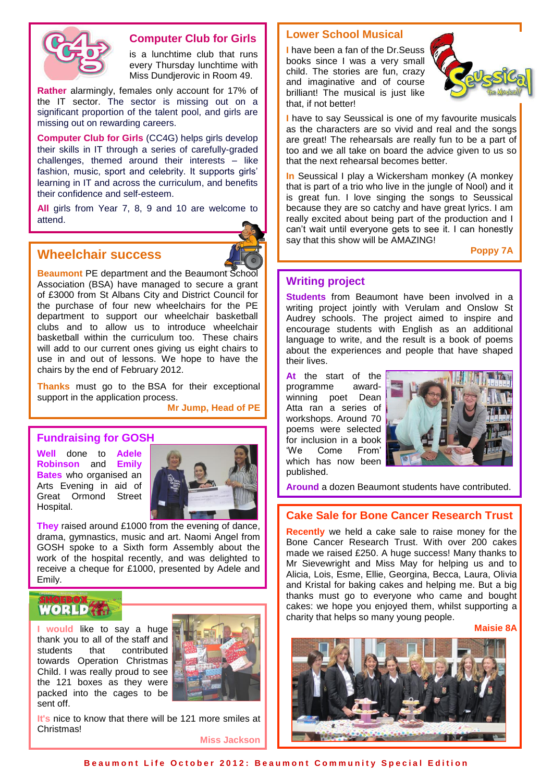

### **Computer Club for Girls**

Miss Dundjerovic Miss Dundjerovic in Room 49. is a lunchtime club that runs every Thursday lunchtime with

**Rather** alarmingly, females only account for 17% of the IT sector. The sector is missing out on a significant proportion of the talent pool, and girls are missing out on rewarding careers.

**Computer Club for Girls** (CC4G) helps girls develop their skills in IT through a series of carefully-graded challenges, themed around their interests – like fashion, music, sport and celebrity. It supports girls' learning in IT and across the curriculum, and benefits their confidence and self-esteem.

**All** girls from Year 7, 8, 9 and 10 are welcome to attend.

# **Wheelchair success**



**Beaumont** PE department and the Beaumont School Association (BSA) have managed to secure a grant of £3000 from St Albans City and District Council for the purchase of four new wheelchairs for the PE department to support our wheelchair basketball clubs and to allow us to introduce wheelchair basketball within the curriculum too. These chairs will add to our current ones giving us eight chairs to use in and out of lessons. We hope to have the chairs by the end of February 2012.

**Thanks** must go to the BSA for their exceptional support in the application process.

**Mr Jump, Head of PE**

# **Fundraising for GOSH**

**Well** done to **Adele Robinson** and **Emily Bates** who organised an Arts Evening in aid of Great Ormond Street Hospital.



**They** raised around £1000 from the evening of dance, drama, gymnastics, music and art. Naomi Angel from GOSH spoke to a Sixth form Assembly about the work of the hospital recently, and was delighted to receive a cheque for £1000, presented by Adele and Emily.

### EBOX WORLDGA

**I would** like to say a huge thank you to all of the staff and students that contributed towards Operation Christmas Child. I was really proud to see the 121 boxes as they were packed into the cages to be sent off.



**It's** nice to know that there will be 121 more smiles at Christmas!

**Miss Jackson**

### **Lower School Musical**

**I** have been a fan of the Dr.Seuss books since I was a very small child. The stories are fun, crazy and imaginative and of course brilliant! The musical is just like that, if not better!



**I** have to say Seussical is one of my favourite musicals as the characters are so vivid and real and the songs are great! The rehearsals are really fun to be a part of too and we all take on board the advice given to us so that the next rehearsal becomes better.

**In** Seussical I play a Wickersham monkey (A monkey that is part of a trio who live in the jungle of Nool) and it is great fun. I love singing the songs to Seussical because they are so catchy and have great lyrics. I am really excited about being part of the production and I can't wait until everyone gets to see it. I can honestly say that this show will be AMAZING!

**Poppy 7A**

### **Writing project**

**Students** from Beaumont have been involved in a writing project jointly with Verulam and Onslow St Audrey schools. The project aimed to inspire and encourage students with English as an additional language to write, and the result is a book of poems about the experiences and people that have shaped their lives.

**At** the start of the programme awardwinning poet Dean Atta ran a series of workshops. Around 70 poems were selected for inclusion in a book 'We Come From' which has now been published.



**Around** a dozen Beaumont students have contributed.

# **Cake Sale for Bone Cancer Research Trust**

**Recently** we held a cake sale to raise money for the Bone Cancer Research Trust. With over 200 cakes made we raised £250. A huge success! Many thanks to Mr Sievewright and Miss May for helping us and to Alicia, Lois, Esme, Ellie, Georgina, Becca, Laura, Olivia and Kristal for baking cakes and helping me. But a big thanks must go to everyone who came and bought cakes: we hope you enjoyed them, whilst supporting a charity that helps so many young people.

**Maisie 8A**